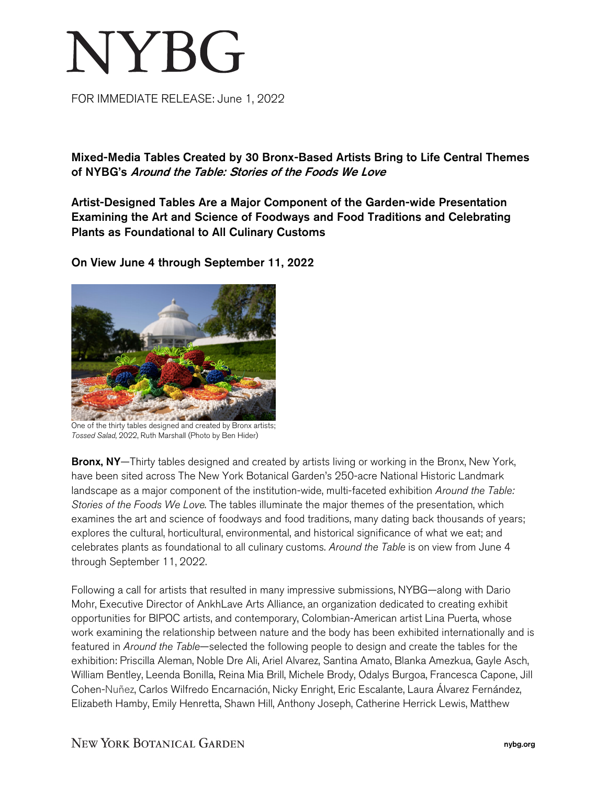## NYBG

FOR IMMEDIATE RELEASE: June 1, 2022

Mixed-Media Tables Created by 30 Bronx-Based Artists Bring to Life Central Themes of NYBG's Around the Table: Stories of the Foods We Love

Artist-Designed Tables Are a Major Component of the Garden-wide Presentation Examining the Art and Science of Foodways and Food Traditions and Celebrating Plants as Foundational to All Culinary Customs



On View June 4 through September 11, 2022

One of the thirty tables designed and created by Bronx artists; *Tossed Salad*, 2022, Ruth Marshall (Photo by Ben Hider)

Bronx, NY—Thirty tables designed and created by artists living or working in the Bronx, New York, have been sited across The New York Botanical Garden's 250-acre National Historic Landmark landscape as a major component of the institution-wide, multi-faceted exhibition *Around the Table: Stories of the Foods We Love*. The tables illuminate the major themes of the presentation, which examines the art and science of foodways and food traditions, many dating back thousands of years; explores the cultural, horticultural, environmental, and historical significance of what we eat; and celebrates plants as foundational to all culinary customs. *Around the Table* is on view from June 4 through September 11, 2022.

Following a call for artists that resulted in many impressive submissions, NYBG—along with Dario Mohr, Executive Director of AnkhLave Arts Alliance, an organization dedicated to creating exhibit opportunities for BIPOC artists, and contemporary, Colombian-American artist Lina Puerta, whose work examining the relationship between nature and the body has been exhibited internationally and is featured in *Around the Table*—selected the following people to design and create the tables for the exhibition: Priscilla Aleman, Noble Dre Ali, Ariel Alvarez, Santina Amato, Blanka Amezkua, Gayle Asch, William Bentley, Leenda Bonilla, Reina Mia Brill, Michele Brody, Odalys Burgoa, Francesca Capone, Jill Cohen-Nuñez, Carlos Wilfredo Encarnación, Nicky Enright, Eric Escalante, Laura Álvarez Fernández, Elizabeth Hamby, Emily Henretta, Shawn Hill, Anthony Joseph, Catherine Herrick Lewis, Matthew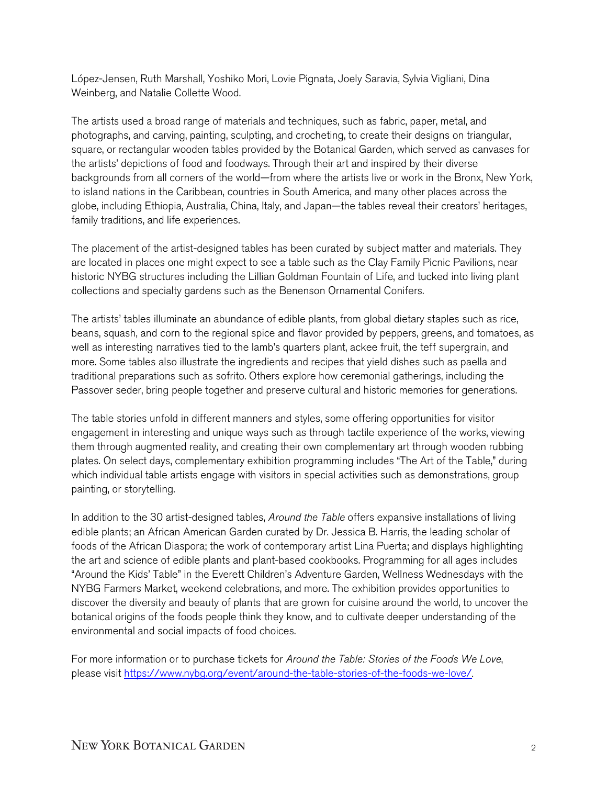López-Jensen, Ruth Marshall, Yoshiko Mori, Lovie Pignata, Joely Saravia, Sylvia Vigliani, Dina Weinberg, and Natalie Collette Wood.

The artists used a broad range of materials and techniques, such as fabric, paper, metal, and photographs, and carving, painting, sculpting, and crocheting, to create their designs on triangular, square, or rectangular wooden tables provided by the Botanical Garden, which served as canvases for the artists' depictions of food and foodways. Through their art and inspired by their diverse backgrounds from all corners of the world—from where the artists live or work in the Bronx, New York, to island nations in the Caribbean, countries in South America, and many other places across the globe, including Ethiopia, Australia, China, Italy, and Japan—the tables reveal their creators' heritages, family traditions, and life experiences.

The placement of the artist-designed tables has been curated by subject matter and materials. They are located in places one might expect to see a table such as the Clay Family Picnic Pavilions, near historic NYBG structures including the Lillian Goldman Fountain of Life, and tucked into living plant collections and specialty gardens such as the Benenson Ornamental Conifers.

The artists' tables illuminate an abundance of edible plants, from global dietary staples such as rice, beans, squash, and corn to the regional spice and flavor provided by peppers, greens, and tomatoes, as well as interesting narratives tied to the lamb's quarters plant, ackee fruit, the teff supergrain, and more. Some tables also illustrate the ingredients and recipes that yield dishes such as paella and traditional preparations such as sofrito. Others explore how ceremonial gatherings, including the Passover seder, bring people together and preserve cultural and historic memories for generations.

The table stories unfold in different manners and styles, some offering opportunities for visitor engagement in interesting and unique ways such as through tactile experience of the works, viewing them through augmented reality, and creating their own complementary art through wooden rubbing plates. On select days, complementary exhibition programming includes "The Art of the Table," during which individual table artists engage with visitors in special activities such as demonstrations, group painting, or storytelling.

In addition to the 30 artist-designed tables, *Around the Table* offers expansive installations of living edible plants; an African American Garden curated by Dr. Jessica B. Harris, the leading scholar of foods of the African Diaspora; the work of contemporary artist Lina Puerta; and displays highlighting the art and science of edible plants and plant-based cookbooks. Programming for all ages includes "Around the Kids' Table" in the Everett Children's Adventure Garden, Wellness Wednesdays with the NYBG Farmers Market, weekend celebrations, and more. The exhibition provides opportunities to discover the diversity and beauty of plants that are grown for cuisine around the world, to uncover the botanical origins of the foods people think they know, and to cultivate deeper understanding of the environmental and social impacts of food choices.

For more information or to purchase tickets for *Around the Table: Stories of the Foods We Love*, please visit [https://www.nybg.org/event/around-the-table-stories-of-the-foods-we-love/.](https://www.nybg.org/event/around-the-table-stories-of-the-foods-we-love/)